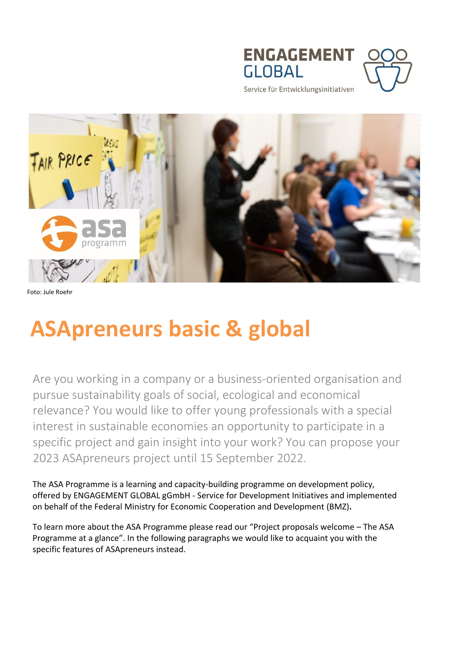



Service für Entwicklungsinitiativen



Foto: Jule Roehr

# **ASApreneurs basic & global**

Are you working in a company or a business-oriented organisation and pursue sustainability goals of social, ecological and economical relevance? You would like to offer young professionals with a special interest in sustainable economies an opportunity to participate in a specific project and gain insight into your work? You can propose your 2023 ASApreneurs project until 15 September 2022.

The ASA Programme is a learning and capacity-building programme on development policy, offered by ENGAGEMENT GLOBAL gGmbH - Service for Development Initiatives and implemented on behalf of the Federal Ministry for Economic Cooperation and Development (BMZ)**.** 

To learn more about the ASA Programme please read our "Project proposals welcome – The ASA Programme at a glance". In the following paragraphs we would like to acquaint you with the specific features of ASApreneurs instead.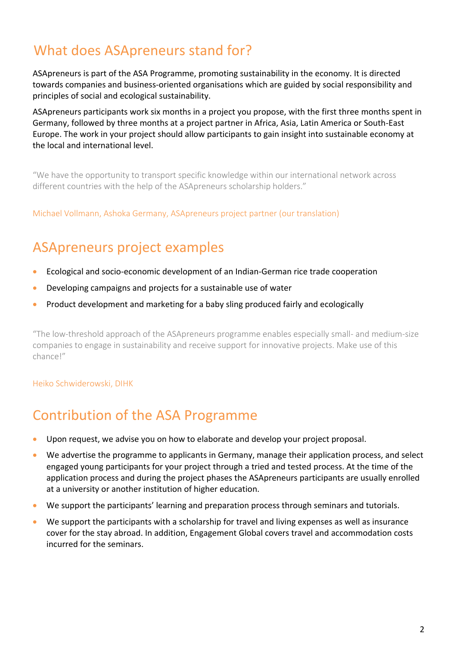# What does ASApreneurs stand for?

ASApreneurs is part of the ASA Programme, promoting sustainability in the economy. It is directed towards companies and business-oriented organisations which are guided by social responsibility and principles of social and ecological sustainability.

ASApreneurs participants work six months in a project you propose, with the first three months spent in Germany, followed by three months at a project partner in Africa, Asia, Latin America or South-East Europe. The work in your project should allow participants to gain insight into sustainable economy at the local and international level.

"We have the opportunity to transport specific knowledge within our international network across different countries with the help of the ASApreneurs scholarship holders."

Michael Vollmann, Ashoka Germany, ASApreneurs project partner (our translation)

### ASApreneurs project examples

- Ecological and socio-economic development of an Indian-German rice trade cooperation
- Developing campaigns and projects for a sustainable use of water
- Product development and marketing for a baby sling produced fairly and ecologically

"The low-threshold approach of the ASApreneurs programme enables especially small- and medium-size companies to engage in sustainability and receive support for innovative projects. Make use of this chance!"

Heiko Schwiderowski, DIHK

### Contribution of the ASA Programme

- Upon request, we advise you on how to elaborate and develop your project proposal.
- We advertise the programme to applicants in Germany, manage their application process, and select engaged young participants for your project through a tried and tested process. At the time of the application process and during the project phases the ASApreneurs participants are usually enrolled at a university or another institution of higher education.
- We support the participants' learning and preparation process through seminars and tutorials.
- We support the participants with a scholarship for travel and living expenses as well as insurance cover for the stay abroad. In addition, Engagement Global covers travel and accommodation costs incurred for the seminars.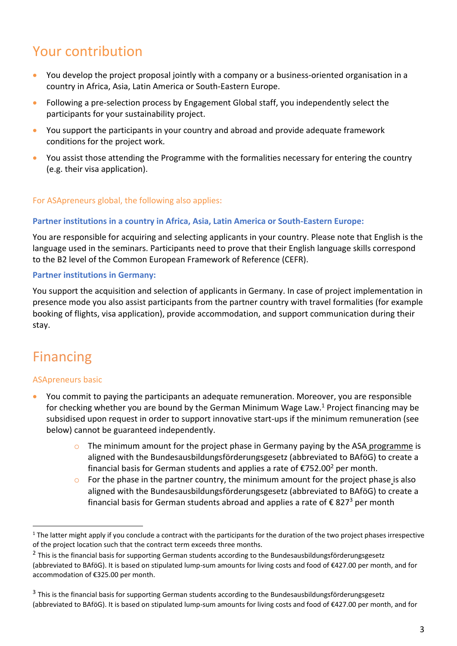# Your contribution

- You develop the project proposal jointly with a company or a business-oriented organisation in a country in Africa, Asia, Latin America or South-Eastern Europe.
- Following a pre-selection process by Engagement Global staff, you independently select the participants for your sustainability project.
- You support the participants in your country and abroad and provide adequate framework conditions for the project work.
- You assist those attending the Programme with the formalities necessary for entering the country (e.g. their visa application).

#### For ASApreneurs global, the following also applies**:**

#### **Partner institutions in a country in Africa, Asia, Latin America or South-Eastern Europe:**

You are responsible for acquiring and selecting applicants in your country. Please note that English is the language used in the seminars. Participants need to prove that their English language skills correspond to the B2 level of the Common European Framework of Reference (CEFR).

#### **Partner institutions in Germany:**

You support the acquisition and selection of applicants in Germany. In case of project implementation in presence mode you also assist participants from the partner country with travel formalities (for example booking of flights, visa application), provide accommodation, and support communication during their stay.

### Financing

 $\overline{a}$ 

#### ASApreneurs basic

- You commit to paying the participants an adequate remuneration. Moreover, you are responsible for checking whether you are bound by the German Minimum Wage Law.<sup>1</sup> Project financing may be subsidised upon request in order to support innovative start-ups if the minimum remuneration (see below) cannot be guaranteed independently.
	- $\circ$  The minimum amount for the project phase in Germany paying by the ASA programme is aligned with the Bundesausbildungsförderungsgesetz (abbreviated to BAföG) to create a financial basis for German students and applies a rate of  $\epsilon$ 752.00<sup>2</sup> per month.
	- $\circ$  For the phase in the partner country, the minimum amount for the project phase is also aligned with the Bundesausbildungsförderungsgesetz (abbreviated to BAföG) to create a financial basis for German students abroad and applies a rate of  $\epsilon$  827<sup>3</sup> per month

<sup>&</sup>lt;sup>1</sup> The latter might apply if you conclude a contract with the participants for the duration of the two project phases irrespective of the project location such that the contract term exceeds three months.

 $^2$  This is the financial basis for supporting German students according to the Bundesausbildungsförderungsgesetz (abbreviated to BAföG). It is based on stipulated lump-sum amounts for living costs and food of €427.00 per month, and for accommodation of €325.00 per month.

<sup>&</sup>lt;sup>3</sup> This is the financial basis for supporting German students according to the Bundesausbildungsförderungsgesetz (abbreviated to BAföG). It is based on stipulated lump-sum amounts for living costs and food of €427.00 per month, and for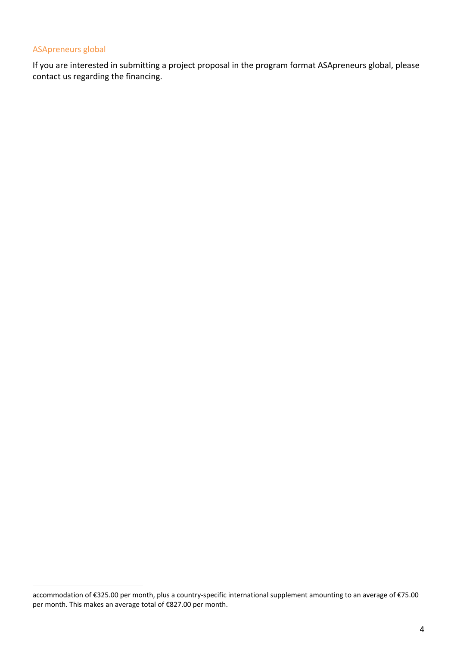#### ASApreneurs global

 $\overline{a}$ 

If you are interested in submitting a project proposal in the program format ASApreneurs global, please contact us regarding the financing.

accommodation of €325.00 per month, plus a country-specific international supplement amounting to an average of €75.00 per month. This makes an average total of €827.00 per month.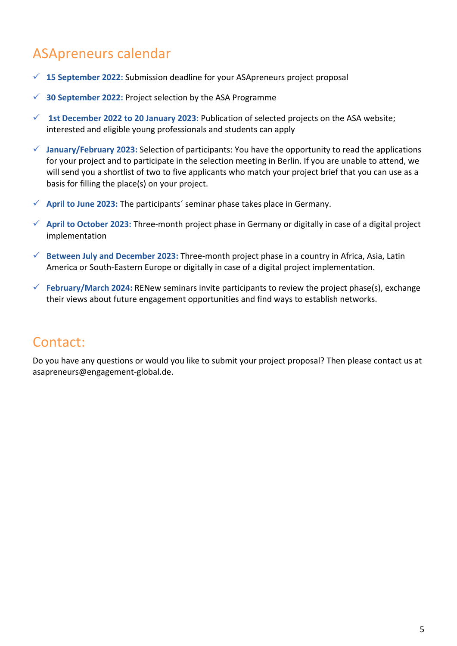# ASApreneurs calendar

- **15 September 2022:** Submission deadline for your ASApreneurs project proposal
- **30 September 2022:** Project selection by the ASA Programme
- **1st December 2022 to 20 January 2023:** Publication of selected projects on the ASA website; interested and eligible young professionals and students can apply
- **January/February 2023:** Selection of participants: You have the opportunity to read the applications for your project and to participate in the selection meeting in Berlin. If you are unable to attend, we will send you a shortlist of two to five applicants who match your project brief that you can use as a basis for filling the place(s) on your project.
- **April to June 2023:** The participants´ seminar phase takes place in Germany.
- **April to October 2023:** Three-month project phase in Germany or digitally in case of a digital project implementation
- **Between July and December 2023:** Three-month project phase in a country in Africa, Asia, Latin America or South-Eastern Europe or digitally in case of a digital project implementation.
- **February/March 2024:** RENew seminars invite participants to review the project phase(s), exchange their views about future engagement opportunities and find ways to establish networks.

### Contact:

Do you have any questions or would you like to submit your project proposal? Then please contact us at [asapreneurs@engagement-global.de.](mailto:asapreneurs@engagement-global.de)